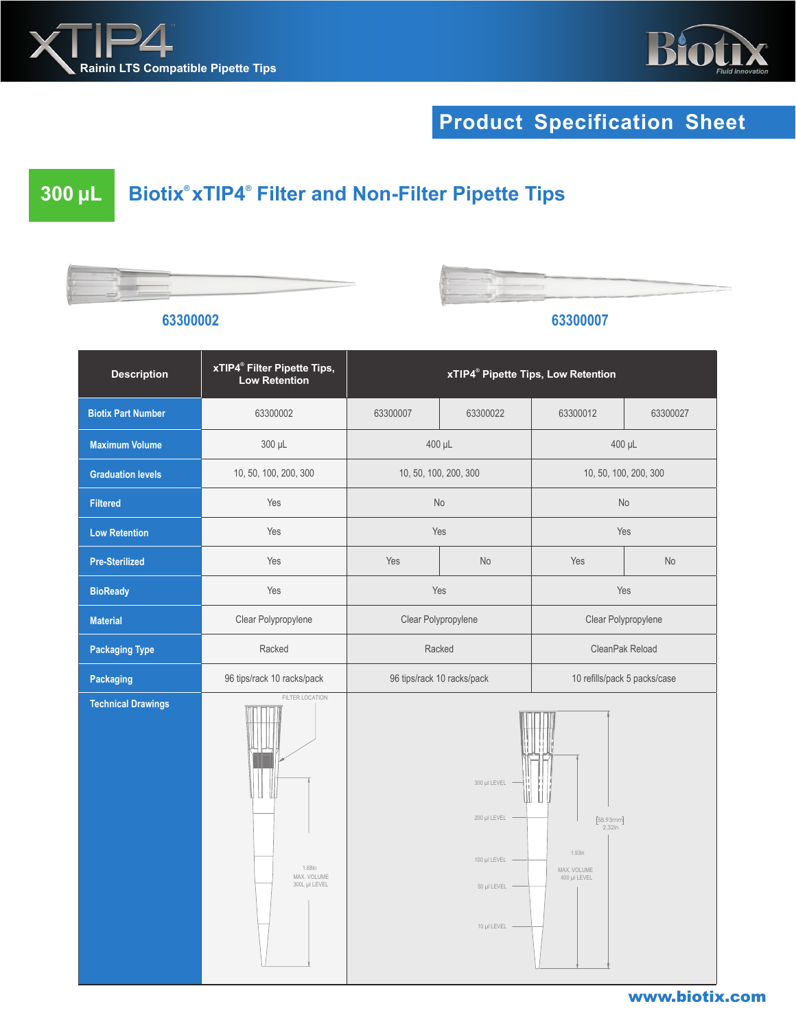



# **Product Specification Sheet**

## **300 μL Biotix® xTIP4***®*  **Filter and Non-Filter Pipette Tips**

**63300002 63300007**



| <b>Description</b>        | xTIP4 <sup>®</sup> Filter Pipette Tips,<br><b>Low Retention</b> | xTIP4 <sup>®</sup> Pipette Tips, Low Retention                                                                                                                                                        |          |                              |           |
|---------------------------|-----------------------------------------------------------------|-------------------------------------------------------------------------------------------------------------------------------------------------------------------------------------------------------|----------|------------------------------|-----------|
| <b>Biotix Part Number</b> | 63300002                                                        | 63300007                                                                                                                                                                                              | 63300022 | 63300012                     | 63300027  |
| <b>Maximum Volume</b>     | 300 µL                                                          | 400 µL                                                                                                                                                                                                |          | 400 µL                       |           |
| <b>Graduation levels</b>  | 10, 50, 100, 200, 300                                           | 10, 50, 100, 200, 300                                                                                                                                                                                 |          | 10, 50, 100, 200, 300        |           |
| <b>Filtered</b>           | Yes                                                             | No                                                                                                                                                                                                    |          | <b>No</b>                    |           |
| <b>Low Retention</b>      | Yes                                                             | Yes                                                                                                                                                                                                   |          | Yes                          |           |
| <b>Pre-Sterilized</b>     | Yes                                                             | Yes                                                                                                                                                                                                   | No       | Yes                          | <b>No</b> |
| <b>BioReady</b>           | Yes                                                             | Yes                                                                                                                                                                                                   |          | Yes                          |           |
| <b>Material</b>           | Clear Polypropylene                                             | Clear Polypropylene                                                                                                                                                                                   |          | Clear Polypropylene          |           |
| <b>Packaging Type</b>     | Racked                                                          | Racked                                                                                                                                                                                                |          | CleanPak Reload              |           |
| Packaging                 | 96 tips/rack 10 racks/pack                                      | 96 tips/rack 10 racks/pack                                                                                                                                                                            |          | 10 refills/pack 5 packs/case |           |
| <b>Technical Drawings</b> | FILTER LOCATION<br>Ш<br>1.68in<br>MAX. VOLUME<br>300L µl LEVEL  | 300 µI LEVEL<br>200 µl LEVEL<br>$\begin{array}{c} \left[58.93\text{mm}\right] \\ 2.32\text{in} \end{array}$<br>$1.93$ in<br>100 µl LEVEL<br>MAX. VOLUME<br>400 µl LEVEL<br>50 µl LEVEL<br>10 µl LEVEL |          |                              |           |

#### www.biotix.com